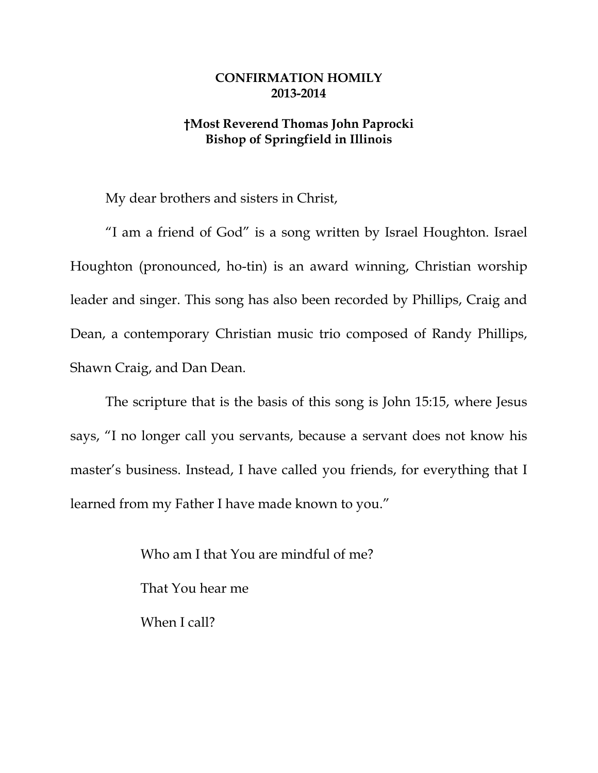## **CONFIRMATION HOMILY 2013-2014**

## **†Most Reverend Thomas John Paprocki Bishop of Springfield in Illinois**

My dear brothers and sisters in Christ,

"I am a friend of God" is a song written by Israel Houghton. Israel Houghton (pronounced, ho-tin) is an award winning, Christian worship leader and singer. This song has also been recorded by Phillips, Craig and Dean, a contemporary Christian music trio composed of Randy Phillips, Shawn Craig, and Dan Dean.

The scripture that is the basis of this song is John 15:15, where Jesus says, "I no longer call you servants, because a servant does not know his master's business. Instead, I have called you friends, for everything that I learned from my Father I have made known to you."

> Who am I that You are mindful of me? That You hear me When I call?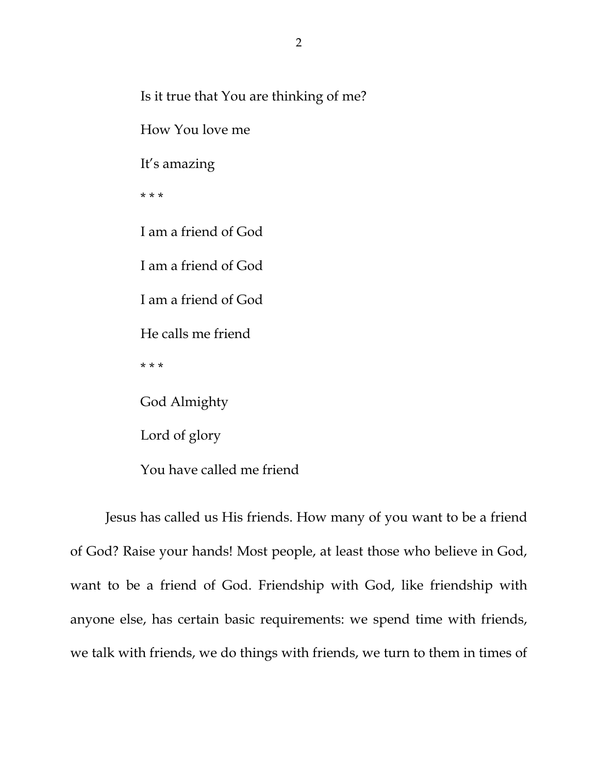Is it true that You are thinking of me?

How You love me

It's amazing

\* \* \*

I am a friend of God I am a friend of God I am a friend of God

He calls me friend

\* \* \*

God Almighty

Lord of glory

You have called me friend

 Jesus has called us His friends. How many of you want to be a friend of God? Raise your hands! Most people, at least those who believe in God, want to be a friend of God. Friendship with God, like friendship with anyone else, has certain basic requirements: we spend time with friends, we talk with friends, we do things with friends, we turn to them in times of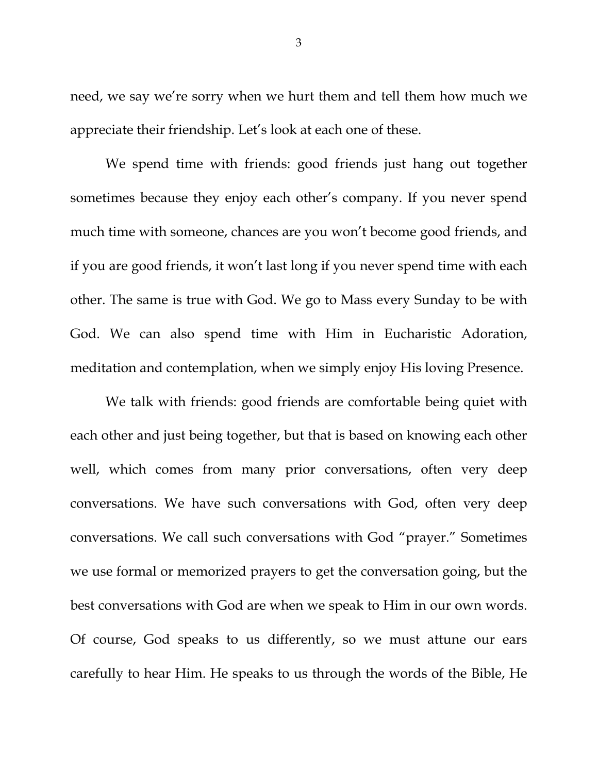need, we say we're sorry when we hurt them and tell them how much we appreciate their friendship. Let's look at each one of these.

We spend time with friends: good friends just hang out together sometimes because they enjoy each other's company. If you never spend much time with someone, chances are you won't become good friends, and if you are good friends, it won't last long if you never spend time with each other. The same is true with God. We go to Mass every Sunday to be with God. We can also spend time with Him in Eucharistic Adoration, meditation and contemplation, when we simply enjoy His loving Presence.

We talk with friends: good friends are comfortable being quiet with each other and just being together, but that is based on knowing each other well, which comes from many prior conversations, often very deep conversations. We have such conversations with God, often very deep conversations. We call such conversations with God "prayer." Sometimes we use formal or memorized prayers to get the conversation going, but the best conversations with God are when we speak to Him in our own words. Of course, God speaks to us differently, so we must attune our ears carefully to hear Him. He speaks to us through the words of the Bible, He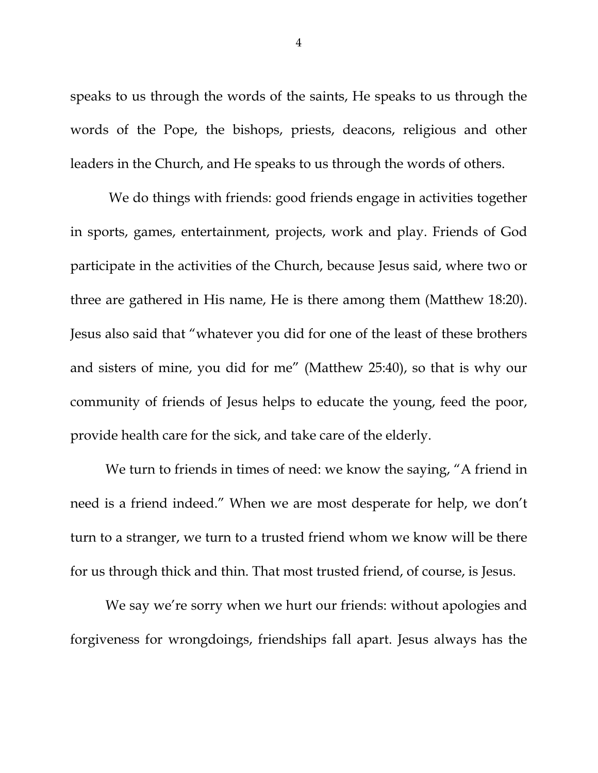speaks to us through the words of the saints, He speaks to us through the words of the Pope, the bishops, priests, deacons, religious and other leaders in the Church, and He speaks to us through the words of others.

 We do things with friends: good friends engage in activities together in sports, games, entertainment, projects, work and play. Friends of God participate in the activities of the Church, because Jesus said, where two or three are gathered in His name, He is there among them (Matthew 18:20). Jesus also said that "whatever you did for one of the least of these brothers and sisters of mine, you did for me" (Matthew 25:40), so that is why our community of friends of Jesus helps to educate the young, feed the poor, provide health care for the sick, and take care of the elderly.

We turn to friends in times of need: we know the saying, "A friend in need is a friend indeed." When we are most desperate for help, we don't turn to a stranger, we turn to a trusted friend whom we know will be there for us through thick and thin. That most trusted friend, of course, is Jesus.

We say we're sorry when we hurt our friends: without apologies and forgiveness for wrongdoings, friendships fall apart. Jesus always has the

4